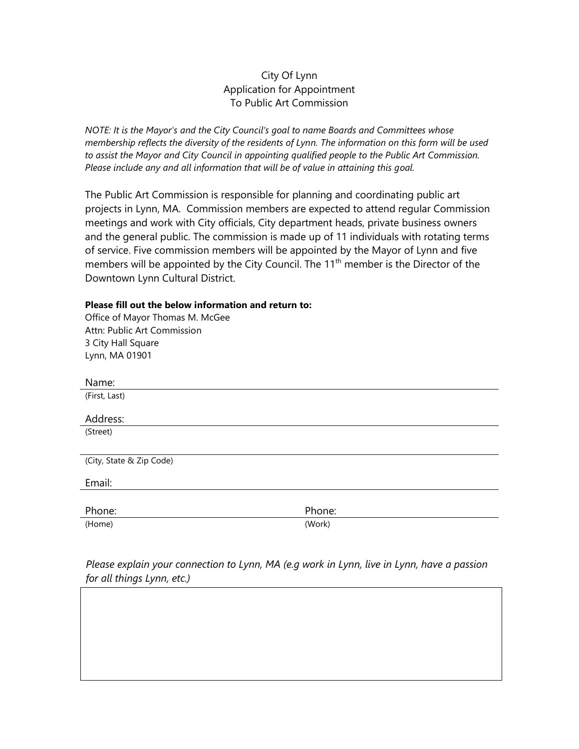## City Of Lynn Application for Appointment To Public Art Commission

*NOTE: It is the Mayor's and the City Council's goal to name Boards and Committees whose membership reflects the diversity of the residents of Lynn. The information on this form will be used to assist the Mayor and City Council in appointing qualified people to the Public Art Commission. Please include any and all information that will be of value in attaining this goal.* 

The Public Art Commission is responsible for planning and coordinating public art projects in Lynn, MA. Commission members are expected to attend regular Commission meetings and work with City officials, City department heads, private business owners and the general public. The commission is made up of 11 individuals with rotating terms of service. Five commission members will be appointed by the Mayor of Lynn and five members will be appointed by the City Council. The  $11<sup>th</sup>$  member is the Director of the Downtown Lynn Cultural District.

## **Please fill out the below information and return to:**

| Phone: |
|--------|
| (Work) |
|        |

*Please explain your connection to Lynn, MA (e.g work in Lynn, live in Lynn, have a passion for all things Lynn, etc.)*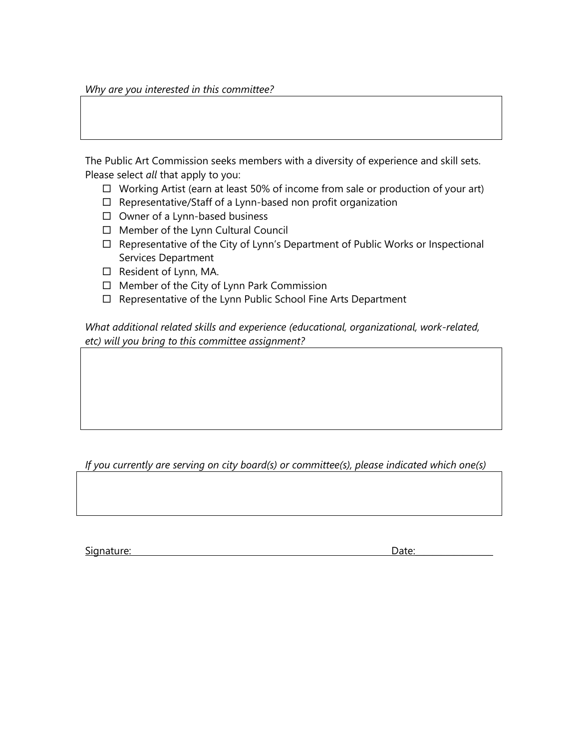*Why are you interested in this committee?* 

The Public Art Commission seeks members with a diversity of experience and skill sets. Please select *all* that apply to you:

- $\Box$  Working Artist (earn at least 50% of income from sale or production of your art)
- $\Box$  Representative/Staff of a Lynn-based non profit organization
- $\Box$  Owner of a Lynn-based business
- $\Box$  Member of the Lynn Cultural Council
- $\Box$  Representative of the City of Lynn's Department of Public Works or Inspectional Services Department
- $\Box$  Resident of Lynn, MA.
- $\Box$  Member of the City of Lynn Park Commission
- $\Box$  Representative of the Lynn Public School Fine Arts Department

*What additional related skills and experience (educational, organizational, work-related, etc) will you bring to this committee assignment?* 

*If you currently are serving on city board(s) or committee(s), please indicated which one(s)* 

Signature: Date: